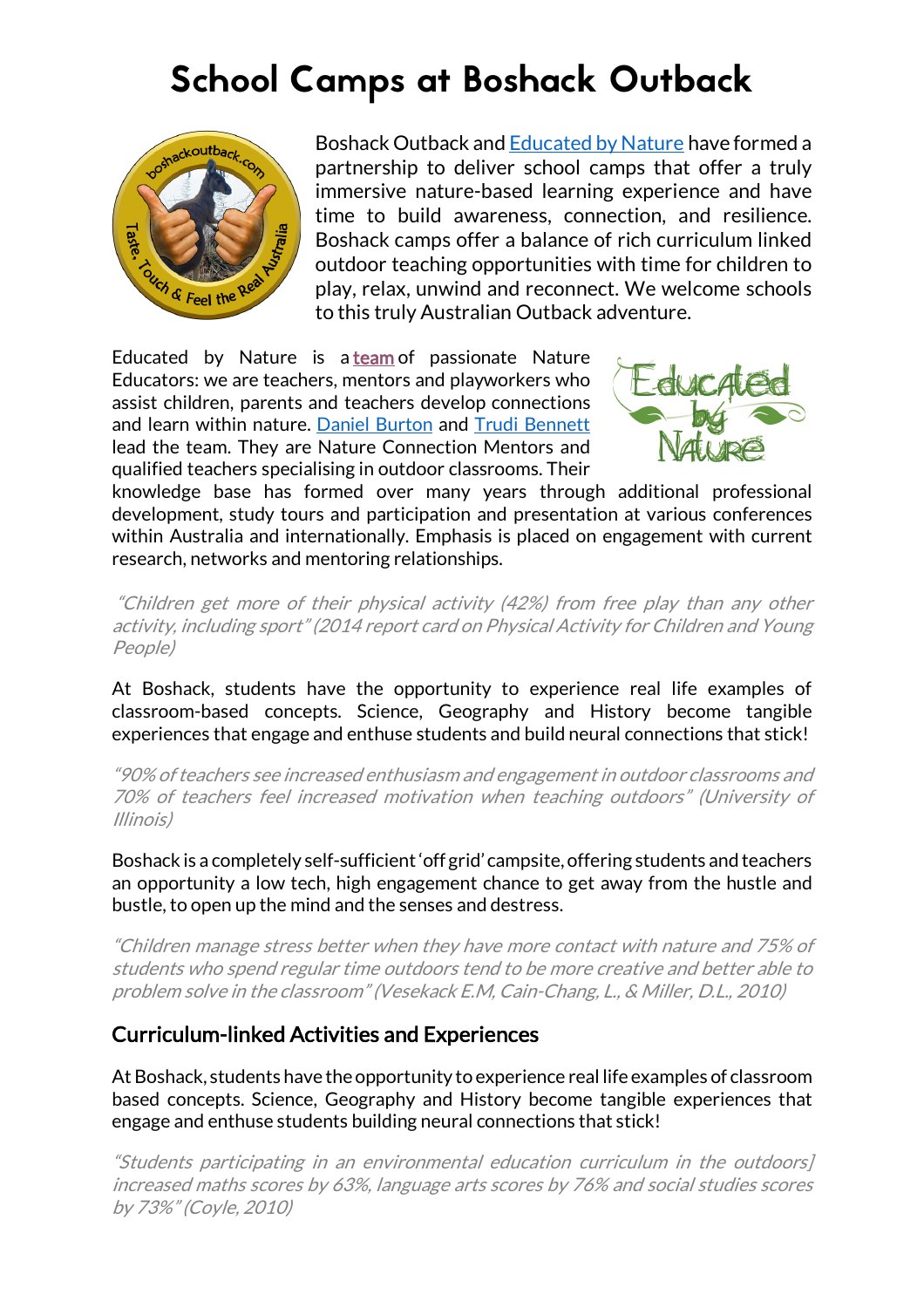# School Camps at Boshack Outback



Boshack Outback and Educated by Nature have formed a partnership to deliver school camps that offer a truly immersive nature-based learning experience and have time to build awareness, connection, and resilience. Boshack camps offer a balance of rich curriculum linked outdoor teaching opportunities with time for children to play, relax, unwind and reconnect. We welcome schools to this truly Australian Outback adventure.

Educated by Nature is a team of passionate Nature Educators: we are teachers, mentors and playworkers who assist children, parents and teachers develop connections and learn within nature. Daniel Burton and Trudi Bennett lead the team. They are Nature Connection Mentors and qualified teachers specialising in outdoor classrooms. Their



knowledge base has formed over many years through additional professional development, study tours and participation and presentation at various conferences within Australia and internationally. Emphasis is placed on engagement with current research, networks and mentoring relationships.

"Children get more of their physical activity (42%) from free play than any other activity, including sport" (2014 report card on Physical Activity for Children and Young People)

At Boshack, students have the opportunity to experience real life examples of classroom-based concepts. Science, Geography and History become tangible experiences that engage and enthuse students and build neural connections that stick!

"90% of teachers see increased enthusiasm and engagement in outdoor classrooms and 70% of teachers feel increased motivation when teaching outdoors" (University of Illinois)

Boshack is a completely self-sufficient 'off grid' campsite, offering students and teachers an opportunity a low tech, high engagement chance to get away from the hustle and bustle, to open up the mind and the senses and destress.

"Children manage stress better when they have more contact with nature and 75% of students who spend regular time outdoors tend to be more creative and better able to problem solve in the classroom" (Vesekack E.M, Cain-Chang, L., & Miller, D.L., 2010)

# Curriculum-linked Activities and Experiences

At Boshack, students have the opportunity to experience real life examples of classroom based concepts. Science, Geography and History become tangible experiences that engage and enthuse students building neural connections that stick!

"Students participating in an environmental education curriculum in the outdoors] increased maths scores by 63%, language arts scores by 76% and social studies scores by 73%" (Coyle, 2010)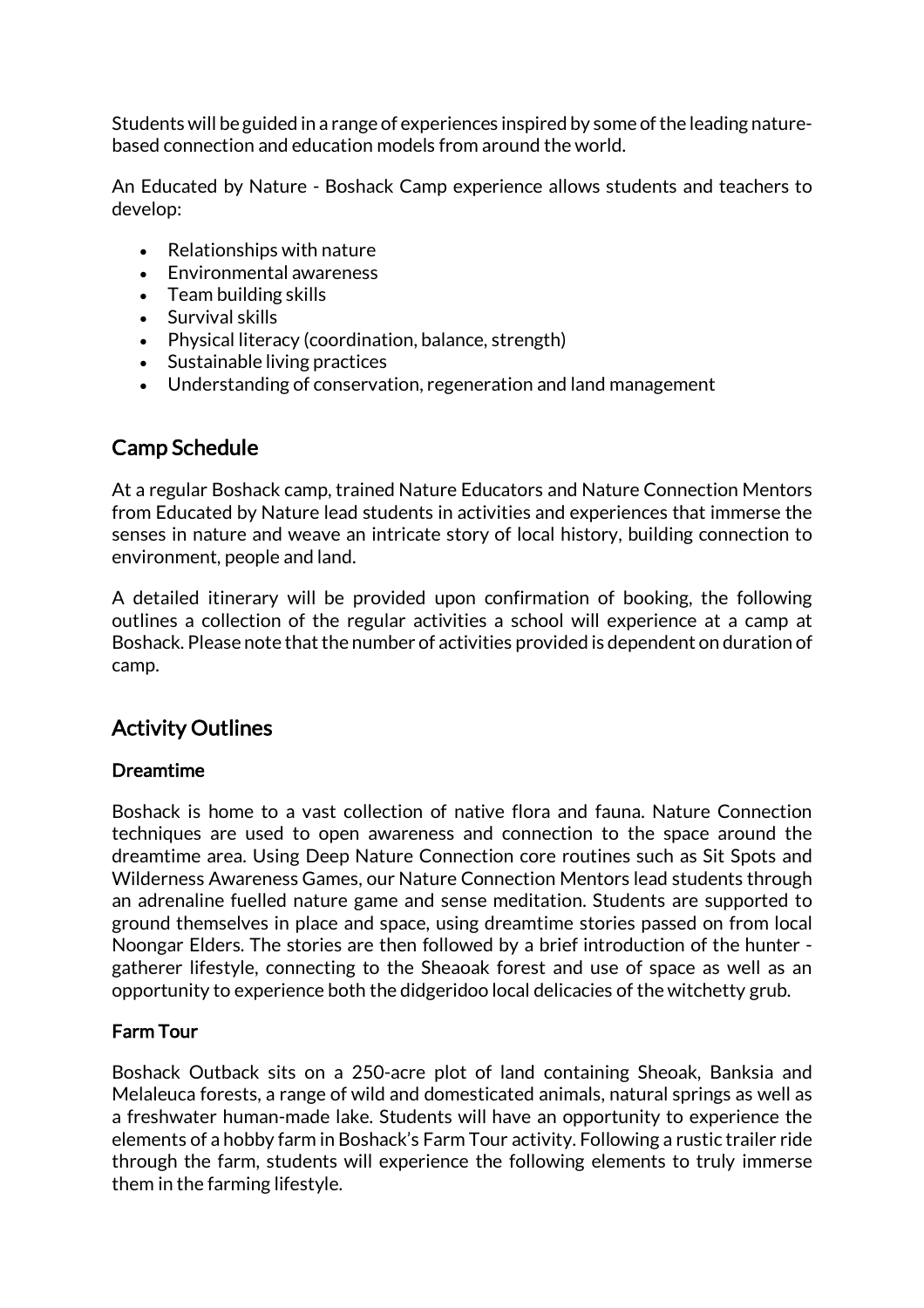Students will be guided in a range of experiences inspired by some of the leading naturebased connection and education models from around the world.

An Educated by Nature - Boshack Camp experience allows students and teachers to develop:

- Relationships with nature
- Environmental awareness
- Team building skills
- Survival skills
- Physical literacy (coordination, balance, strength)
- Sustainable living practices
- Understanding of conservation, regeneration and land management

# Camp Schedule

At a regular Boshack camp, trained Nature Educators and Nature Connection Mentors from Educated by Nature lead students in activities and experiences that immerse the senses in nature and weave an intricate story of local history, building connection to environment, people and land.

A detailed itinerary will be provided upon confirmation of booking, the following outlines a collection of the regular activities a school will experience at a camp at Boshack. Please note that the number of activities provided is dependent on duration of camp.

# Activity Outlines

#### Dreamtime

Boshack is home to a vast collection of native flora and fauna. Nature Connection techniques are used to open awareness and connection to the space around the dreamtime area. Using Deep Nature Connection core routines such as Sit Spots and Wilderness Awareness Games, our Nature Connection Mentors lead students through an adrenaline fuelled nature game and sense meditation. Students are supported to ground themselves in place and space, using dreamtime stories passed on from local Noongar Elders. The stories are then followed by a brief introduction of the hunter gatherer lifestyle, connecting to the Sheaoak forest and use of space as well as an opportunity to experience both the didgeridoo local delicacies of the witchetty grub.

# Farm Tour

Boshack Outback sits on a 250-acre plot of land containing Sheoak, Banksia and Melaleuca forests, a range of wild and domesticated animals, natural springs as well as a freshwater human-made lake. Students will have an opportunity to experience the elements of a hobby farm in Boshack's Farm Tour activity. Following a rustic trailer ride through the farm, students will experience the following elements to truly immerse them in the farming lifestyle.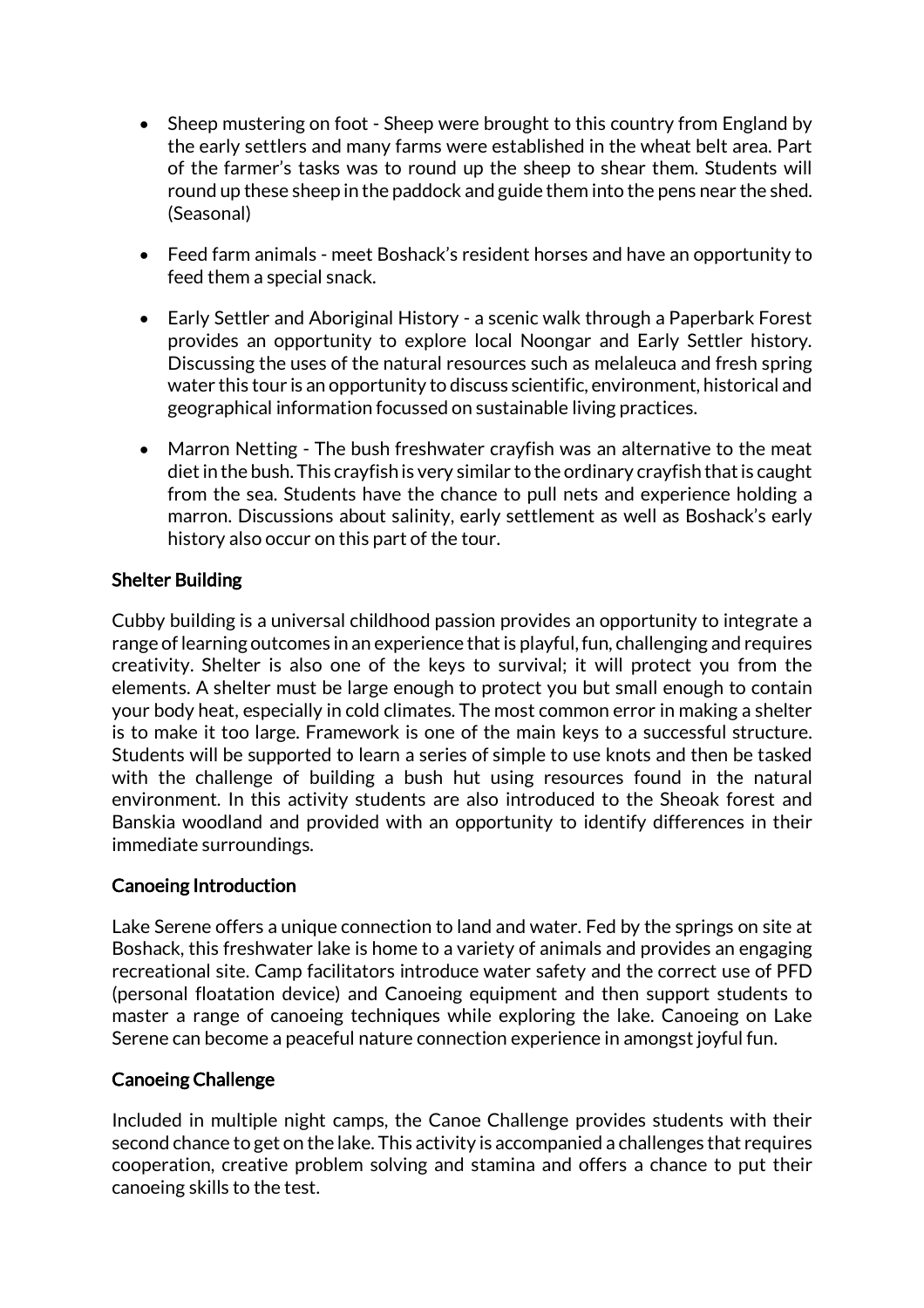- Sheep mustering on foot Sheep were brought to this country from England by the early settlers and many farms were established in the wheat belt area. Part of the farmer's tasks was to round up the sheep to shear them. Students will round up these sheep in the paddock and guide them into the pens near the shed. (Seasonal)
- Feed farm animals meet Boshack's resident horses and have an opportunity to feed them a special snack.
- Early Settler and Aboriginal History a scenic walk through a Paperbark Forest provides an opportunity to explore local Noongar and Early Settler history. Discussing the uses of the natural resources such as melaleuca and fresh spring water this tour is an opportunity to discuss scientific, environment, historical and geographical information focussed on sustainable living practices.
- Marron Netting The bush freshwater crayfish was an alternative to the meat diet in the bush. This crayfish is very similar to the ordinary crayfish that is caught from the sea. Students have the chance to pull nets and experience holding a marron. Discussions about salinity, early settlement as well as Boshack's early history also occur on this part of the tour.

## Shelter Building

Cubby building is a universal childhood passion provides an opportunity to integrate a range of learning outcomes in an experience that is playful, fun, challenging and requires creativity. Shelter is also one of the keys to survival; it will protect you from the elements. A shelter must be large enough to protect you but small enough to contain your body heat, especially in cold climates. The most common error in making a shelter is to make it too large. Framework is one of the main keys to a successful structure. Students will be supported to learn a series of simple to use knots and then be tasked with the challenge of building a bush hut using resources found in the natural environment. In this activity students are also introduced to the Sheoak forest and Banskia woodland and provided with an opportunity to identify differences in their immediate surroundings.

#### Canoeing Introduction

Lake Serene offers a unique connection to land and water. Fed by the springs on site at Boshack, this freshwater lake is home to a variety of animals and provides an engaging recreational site. Camp facilitators introduce water safety and the correct use of PFD (personal floatation device) and Canoeing equipment and then support students to master a range of canoeing techniques while exploring the lake. Canoeing on Lake Serene can become a peaceful nature connection experience in amongst joyful fun.

#### Canoeing Challenge

Included in multiple night camps, the Canoe Challenge provides students with their second chance to get on the lake. This activity is accompanied a challenges that requires cooperation, creative problem solving and stamina and offers a chance to put their canoeing skills to the test.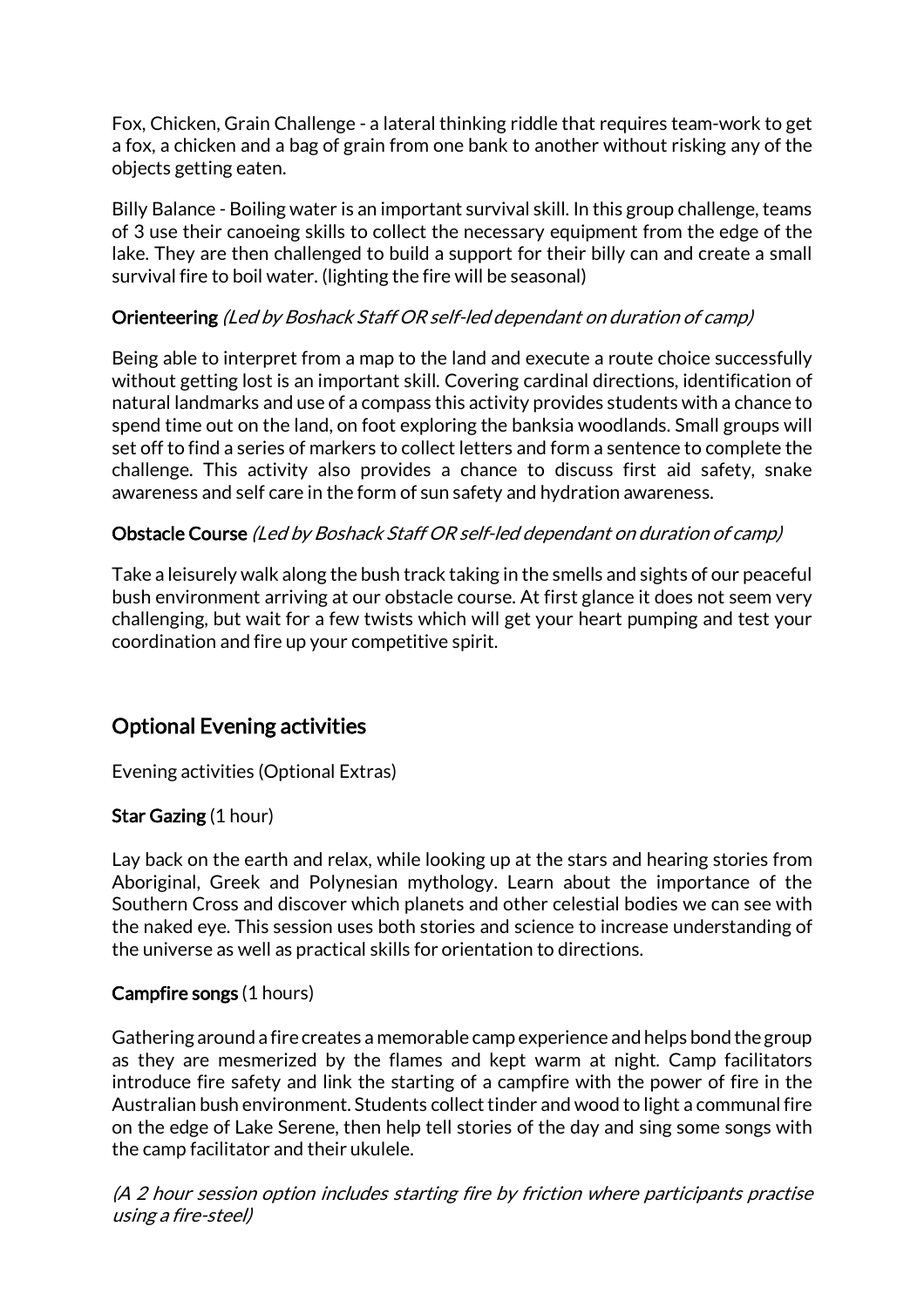Fox, Chicken, Grain Challenge - a lateral thinking riddle that requires team-work to get a fox, a chicken and a bag of grain from one bank to another without risking any of the objects getting eaten.

Billy Balance - Boiling water is an important survival skill. In this group challenge, teams of 3 use their canoeing skills to collect the necessary equipment from the edge of the lake. They are then challenged to build a support for their billy can and create a small survival fire to boil water. (lighting the fire will be seasonal)

## Orienteering (Led by Boshack Staff OR self-led dependant on duration of camp)

Being able to interpret from a map to the land and execute a route choice successfully without getting lost is an important skill. Covering cardinal directions, identification of natural landmarks and use of a compass this activity provides students with a chance to spend time out on the land, on foot exploring the banksia woodlands. Small groups will set off to find a series of markers to collect letters and form a sentence to complete the challenge. This activity also provides a chance to discuss first aid safety, snake awareness and self care in the form of sun safety and hydration awareness.

## Obstacle Course (Led by Boshack Staff OR self-led dependant on duration of camp)

Take a leisurely walk along the bush track taking in the smells and sights of our peaceful bush environment arriving at our obstacle course. At first glance it does not seem very challenging, but wait for a few twists which will get your heart pumping and test your coordination and fire up your competitive spirit.

# Optional Evening activities

Evening activities (Optional Extras)

# Star Gazing (1 hour)

Lay back on the earth and relax, while looking up at the stars and hearing stories from Aboriginal, Greek and Polynesian mythology. Learn about the importance of the Southern Cross and discover which planets and other celestial bodies we can see with the naked eye. This session uses both stories and science to increase understanding of the universe as well as practical skills for orientation to directions.

#### Campfire songs (1 hours)

Gathering around a fire creates a memorable camp experience and helps bond the group as they are mesmerized by the flames and kept warm at night. Camp facilitators introduce fire safety and link the starting of a campfire with the power of fire in the Australian bush environment. Students collect tinder and wood to light a communal fire on the edge of Lake Serene, then help tell stories of the day and sing some songs with the camp facilitator and their ukulele.

(A 2 hour session option includes starting fire by friction where participants practise using a fire-steel)